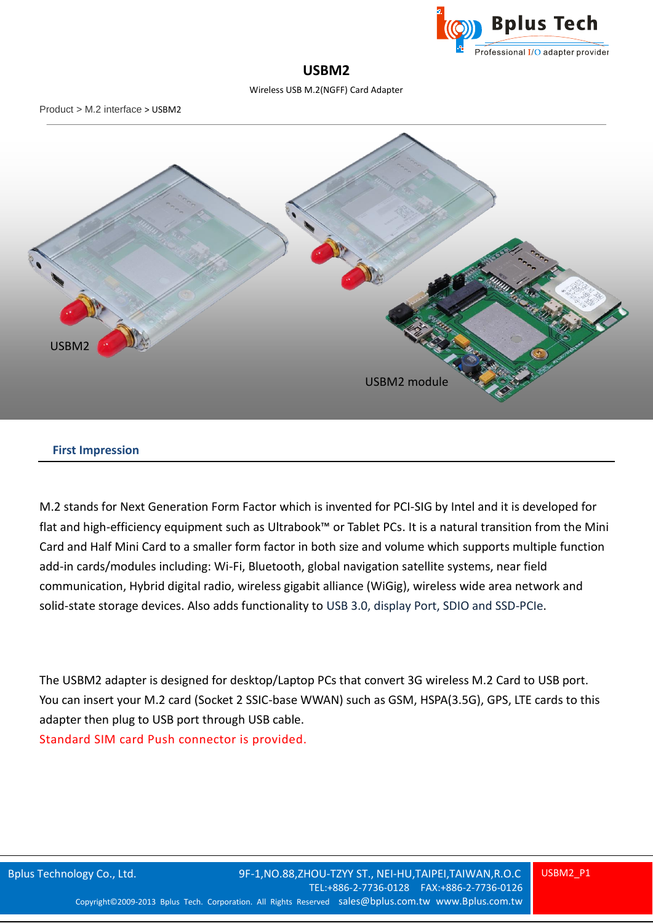

# **USBM2**

Wireless USB M.2(NGFF) Card Adapter

Product > M.2 interface > USBM2



## **First Impression**

M.2 stands for Next Generation Form Factor which is invented for PCI-SIG by Intel and it is developed for flat and high-efficiency equipment such as Ultrabook™ or Tablet PCs. It is a natural transition from the Mini Card and Half Mini Card to a smaller form factor in both size and volume which supports multiple function add-in cards/modules including: Wi-Fi, Bluetooth, global navigation satellite systems, near field communication, Hybrid digital radio, wireless gigabit alliance (WiGig), wireless wide area network and solid-state storage devices. Also adds functionality to USB 3.0, display Port, SDIO and SSD-PCIe.

The USBM2 adapter is designed for desktop/Laptop PCs that convert 3G wireless M.2 Card to USB port. You can insert your M.2 card (Socket 2 SSIC-base WWAN) such as GSM, HSPA(3.5G), GPS, LTE cards to this adapter then plug to USB port through USB cable. Standard SIM card Push connector is provided.